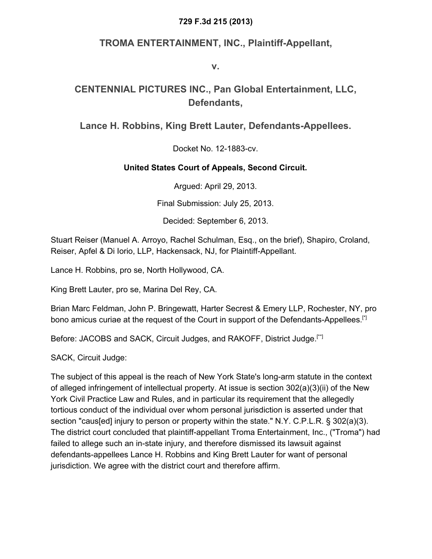#### **729 F.3d 215 (2013)**

### **TROMA ENTERTAINMENT, INC., Plaintiff-Appellant,**

**v.**

### **CENTENNIAL PICTURES INC., Pan Global Entertainment, LLC, Defendants,**

### **Lance H. Robbins, King Brett Lauter, Defendants-Appellees.**

Docket No. 12-1883-cv.

#### **United States Court of Appeals, Second Circuit.**

Argued: April 29, 2013.

Final Submission: July 25, 2013.

Decided: September 6, 2013.

Stuart Reiser (Manuel A. Arroyo, Rachel Schulman, Esq., on the brief), Shapiro, Croland, Reiser, Apfel & Di Iorio, LLP, Hackensack, NJ, for Plaintiff-Appellant.

Lance H. Robbins, pro se, North Hollywood, CA.

King Brett Lauter, pro se, Marina Del Rey, CA.

Brian Marc Feldman, John P. Bringewatt, Harter Secrest & Emery LLP, Rochester, NY, pro bono amicus curiae at the request of the Court in support of the Defendants-Appellees.<sup>[\*]</sup>

Before: JACOBS and SACK, Circuit Judges, and RAKOFF, District Judge.<sup>[\*]</sup>

SACK, Circuit Judge:

The subject of this appeal is the reach of New York State's long-arm statute in the context of alleged infringement of intellectual property. At issue is section 302(a)(3)(ii) of the New York Civil Practice Law and Rules, and in particular its requirement that the allegedly tortious conduct of the individual over whom personal jurisdiction is asserted under that section "caus[ed] injury to person or property within the state." N.Y. C.P.L.R. § 302(a)(3). The district court concluded that plaintiff-appellant Troma Entertainment, Inc., ("Troma") had failed to allege such an in-state injury, and therefore dismissed its lawsuit against defendants-appellees Lance H. Robbins and King Brett Lauter for want of personal jurisdiction. We agree with the district court and therefore affirm.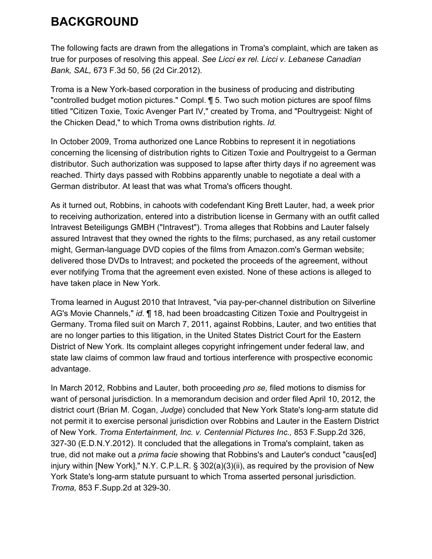## **BACKGROUND**

The following facts are drawn from the allegations in Troma's complaint, which are taken as true for purposes of resolving this appeal. *See Licci ex rel. Licci v. Lebanese Canadian Bank, SAL,* 673 F.3d 50, 56 (2d Cir.2012).

Troma is a New York-based corporation in the business of producing and distributing "controlled budget motion pictures." Compl. ¶ 5. Two such motion pictures are spoof films titled "Citizen Toxie, Toxic Avenger Part IV," created by Troma, and "Poultrygeist: Night of the Chicken Dead," to which Troma owns distribution rights. *Id.*

In October 2009, Troma authorized one Lance Robbins to represent it in negotiations concerning the licensing of distribution rights to Citizen Toxie and Poultrygeist to a German distributor. Such authorization was supposed to lapse after thirty days if no agreement was reached. Thirty days passed with Robbins apparently unable to negotiate a deal with a German distributor. At least that was what Troma's officers thought.

As it turned out, Robbins, in cahoots with codefendant King Brett Lauter, had, a week prior to receiving authorization, entered into a distribution license in Germany with an outfit called Intravest Beteiligungs GMBH ("Intravest"). Troma alleges that Robbins and Lauter falsely assured Intravest that they owned the rights to the films; purchased, as any retail customer might, German-language DVD copies of the films from Amazon.com's German website; delivered those DVDs to Intravest; and pocketed the proceeds of the agreement, without ever notifying Troma that the agreement even existed. None of these actions is alleged to have taken place in New York.

Troma learned in August 2010 that Intravest, "via pay-per-channel distribution on Silverline AG's Movie Channels," *id.* ¶ 18, had been broadcasting Citizen Toxie and Poultrygeist in Germany. Troma filed suit on March 7, 2011, against Robbins, Lauter, and two entities that are no longer parties to this litigation, in the United States District Court for the Eastern District of New York. Its complaint alleges copyright infringement under federal law, and state law claims of common law fraud and tortious interference with prospective economic advantage.

In March 2012, Robbins and Lauter, both proceeding *pro se,* filed motions to dismiss for want of personal jurisdiction. In a memorandum decision and order filed April 10, 2012, the district court (Brian M. Cogan, *Judge*) concluded that New York State's long-arm statute did not permit it to exercise personal jurisdiction over Robbins and Lauter in the Eastern District of New York. *Troma Entertainment, Inc. v. Centennial Pictures Inc.,* 853 F.Supp.2d 326, 327-30 (E.D.N.Y.2012). It concluded that the allegations in Troma's complaint, taken as true, did not make out a *prima facie* showing that Robbins's and Lauter's conduct "caus[ed] injury within [New York]," N.Y. C.P.L.R. § 302(a)(3)(ii), as required by the provision of New York State's long-arm statute pursuant to which Troma asserted personal jurisdiction. *Troma,* 853 F.Supp.2d at 329-30.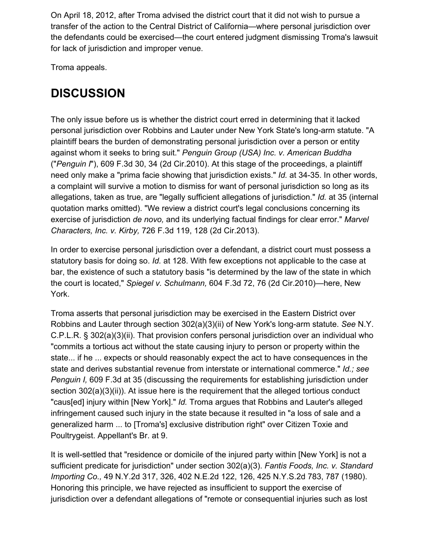On April 18, 2012, after Troma advised the district court that it did not wish to pursue a transfer of the action to the Central District of California—where personal jurisdiction over the defendants could be exercised—the court entered judgment dismissing Troma's lawsuit for lack of jurisdiction and improper venue.

Troma appeals.

# **DISCUSSION**

The only issue before us is whether the district court erred in determining that it lacked personal jurisdiction over Robbins and Lauter under New York State's long-arm statute. "A plaintiff bears the burden of demonstrating personal jurisdiction over a person or entity against whom it seeks to bring suit." *Penguin Group (USA) Inc. v. American Buddha* ("*Penguin I*"), 609 F.3d 30, 34 (2d Cir.2010). At this stage of the proceedings, a plaintiff need only make a "prima facie showing that jurisdiction exists." *Id.* at 34-35. In other words, a complaint will survive a motion to dismiss for want of personal jurisdiction so long as its allegations, taken as true, are "legally sufficient allegations of jurisdiction." *Id.* at 35 (internal quotation marks omitted). "We review a district court's legal conclusions concerning its exercise of jurisdiction *de novo,* and its underlying factual findings for clear error." *Marvel Characters, Inc. v. Kirby,* 726 F.3d 119, 128 (2d Cir.2013).

In order to exercise personal jurisdiction over a defendant, a district court must possess a statutory basis for doing so. *Id.* at 128. With few exceptions not applicable to the case at bar, the existence of such a statutory basis "is determined by the law of the state in which the court is located," *Spiegel v. Schulmann,* 604 F.3d 72, 76 (2d Cir.2010)—here, New York.

Troma asserts that personal jurisdiction may be exercised in the Eastern District over Robbins and Lauter through section 302(a)(3)(ii) of New York's long-arm statute. *See* N.Y. C.P.L.R. § 302(a)(3)(ii). That provision confers personal jurisdiction over an individual who "commits a tortious act without the state causing injury to person or property within the state... if he ... expects or should reasonably expect the act to have consequences in the state and derives substantial revenue from interstate or international commerce." *Id.; see Penguin I,* 609 F.3d at 35 (discussing the requirements for establishing jurisdiction under section 302(a)(3)(ii)). At issue here is the requirement that the alleged tortious conduct "caus[ed] injury within [New York]." *Id.* Troma argues that Robbins and Lauter's alleged infringement caused such injury in the state because it resulted in "a loss of sale and a generalized harm ... to [Troma's] exclusive distribution right" over Citizen Toxie and Poultrygeist. Appellant's Br. at 9.

It is well-settled that "residence or domicile of the injured party within [New York] is not a sufficient predicate for jurisdiction" under section 302(a)(3). *Fantis Foods, Inc. v. Standard Importing Co.,* 49 N.Y.2d 317, 326, 402 N.E.2d 122, 126, 425 N.Y.S.2d 783, 787 (1980). Honoring this principle, we have rejected as insufficient to support the exercise of jurisdiction over a defendant allegations of "remote or consequential injuries such as lost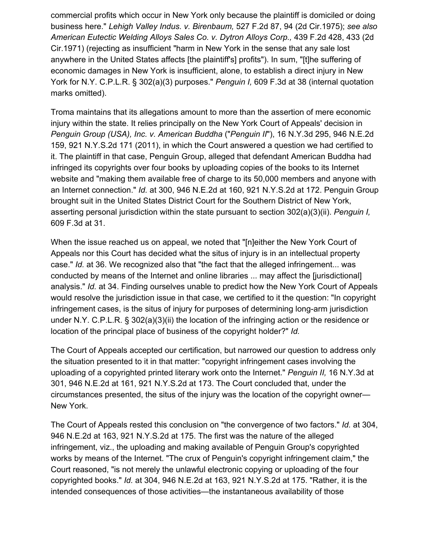commercial profits which occur in New York only because the plaintiff is domiciled or doing business here." *Lehigh Valley Indus. v. Birenbaum,* 527 F.2d 87, 94 (2d Cir.1975); *see also American Eutectic Welding Alloys Sales Co. v. Dytron Alloys Corp.,* 439 F.2d 428, 433 (2d Cir.1971) (rejecting as insufficient "harm in New York in the sense that any sale lost anywhere in the United States affects [the plaintiff's] profits"). In sum, "[t]he suffering of economic damages in New York is insufficient, alone, to establish a direct injury in New York for N.Y. C.P.L.R. § 302(a)(3) purposes." *Penguin I,* 609 F.3d at 38 (internal quotation marks omitted).

Troma maintains that its allegations amount to more than the assertion of mere economic injury within the state. It relies principally on the New York Court of Appeals' decision in *Penguin Group (USA), Inc. v. American Buddha* ("*Penguin II*"), 16 N.Y.3d 295, 946 N.E.2d 159, 921 N.Y.S.2d 171 (2011), in which the Court answered a question we had certified to it. The plaintiff in that case, Penguin Group, alleged that defendant American Buddha had infringed its copyrights over four books by uploading copies of the books to its Internet website and "making them available free of charge to its 50,000 members and anyone with an Internet connection." *Id.* at 300, 946 N.E.2d at 160, 921 N.Y.S.2d at 172. Penguin Group brought suit in the United States District Court for the Southern District of New York, asserting personal jurisdiction within the state pursuant to section 302(a)(3)(ii). *Penguin I,* 609 F.3d at 31.

When the issue reached us on appeal, we noted that "[n]either the New York Court of Appeals nor this Court has decided what the situs of injury is in an intellectual property case." *Id.* at 36. We recognized also that "the fact that the alleged infringement... was conducted by means of the Internet and online libraries ... may affect the [jurisdictional] analysis." *Id.* at 34. Finding ourselves unable to predict how the New York Court of Appeals would resolve the jurisdiction issue in that case, we certified to it the question: "In copyright infringement cases, is the situs of injury for purposes of determining long-arm jurisdiction under N.Y. C.P.L.R. § 302(a)(3)(ii) the location of the infringing action or the residence or location of the principal place of business of the copyright holder?" *Id.*

The Court of Appeals accepted our certification, but narrowed our question to address only the situation presented to it in that matter: "copyright infringement cases involving the uploading of a copyrighted printed literary work onto the Internet." *Penguin II,* 16 N.Y.3d at 301, 946 N.E.2d at 161, 921 N.Y.S.2d at 173. The Court concluded that, under the circumstances presented, the situs of the injury was the location of the copyright owner— New York.

The Court of Appeals rested this conclusion on "the convergence of two factors." *Id.* at 304, 946 N.E.2d at 163, 921 N.Y.S.2d at 175. The first was the nature of the alleged infringement, viz., the uploading and making available of Penguin Group's copyrighted works by means of the Internet. "The crux of Penguin's copyright infringement claim," the Court reasoned, "is not merely the unlawful electronic copying or uploading of the four copyrighted books." *Id.* at 304, 946 N.E.2d at 163, 921 N.Y.S.2d at 175. "Rather, it is the intended consequences of those activities—the instantaneous availability of those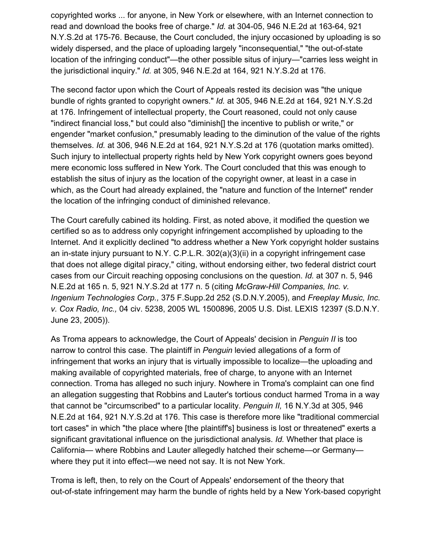copyrighted works ... for anyone, in New York or elsewhere, with an Internet connection to read and download the books free of charge." *Id.* at 304-05, 946 N.E.2d at 163-64, 921 N.Y.S.2d at 175-76. Because, the Court concluded, the injury occasioned by uploading is so widely dispersed, and the place of uploading largely "inconsequential," "the out-of-state location of the infringing conduct"—the other possible situs of injury—"carries less weight in the jurisdictional inquiry." *Id.* at 305, 946 N.E.2d at 164, 921 N.Y.S.2d at 176.

The second factor upon which the Court of Appeals rested its decision was "the unique bundle of rights granted to copyright owners." *Id.* at 305, 946 N.E.2d at 164, 921 N.Y.S.2d at 176. Infringement of intellectual property, the Court reasoned, could not only cause "indirect financial loss," but could also "diminish[] the incentive to publish or write," or engender "market confusion," presumably leading to the diminution of the value of the rights themselves. *Id.* at 306, 946 N.E.2d at 164, 921 N.Y.S.2d at 176 (quotation marks omitted). Such injury to intellectual property rights held by New York copyright owners goes beyond mere economic loss suffered in New York. The Court concluded that this was enough to establish the situs of injury as the location of the copyright owner, at least in a case in which, as the Court had already explained, the "nature and function of the Internet" render the location of the infringing conduct of diminished relevance.

The Court carefully cabined its holding. First, as noted above, it modified the question we certified so as to address only copyright infringement accomplished by uploading to the Internet. And it explicitly declined "to address whether a New York copyright holder sustains an in-state injury pursuant to N.Y. C.P.L.R. 302(a)(3)(ii) in a copyright infringement case that does not allege digital piracy," citing, without endorsing either, two federal district court cases from our Circuit reaching opposing conclusions on the question. *Id.* at 307 n. 5, 946 N.E.2d at 165 n. 5, 921 N.Y.S.2d at 177 n. 5 (citing *McGraw-Hill Companies, Inc. v. Ingenium Technologies Corp.,* 375 F.Supp.2d 252 (S.D.N.Y.2005), and *Freeplay Music, Inc. v. Cox Radio, Inc.,* 04 civ. 5238, 2005 WL 1500896, 2005 U.S. Dist. LEXIS 12397 (S.D.N.Y. June 23, 2005)).

As Troma appears to acknowledge, the Court of Appeals' decision in *Penguin II* is too narrow to control this case. The plaintiff in *Penguin* levied allegations of a form of infringement that works an injury that is virtually impossible to localize—the uploading and making available of copyrighted materials, free of charge, to anyone with an Internet connection. Troma has alleged no such injury. Nowhere in Troma's complaint can one find an allegation suggesting that Robbins and Lauter's tortious conduct harmed Troma in a way that cannot be "circumscribed" to a particular locality. *Penguin II,* 16 N.Y.3d at 305, 946 N.E.2d at 164, 921 N.Y.S.2d at 176. This case is therefore more like "traditional commercial tort cases" in which "the place where [the plaintiff's] business is lost or threatened" exerts a significant gravitational influence on the jurisdictional analysis. *Id.* Whether that place is California— where Robbins and Lauter allegedly hatched their scheme—or Germany where they put it into effect—we need not say. It is not New York.

Troma is left, then, to rely on the Court of Appeals' endorsement of the theory that out-of-state infringement may harm the bundle of rights held by a New York-based copyright